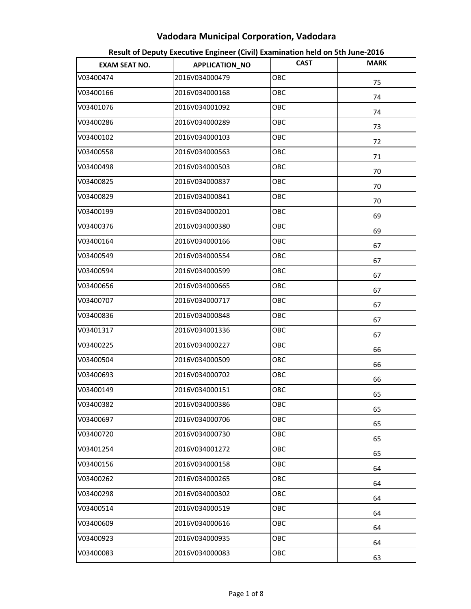| <b>EXAM SEAT NO.</b> | <b>APPLICATION_NO</b> | <b>CAST</b> | <b>MARK</b> |
|----------------------|-----------------------|-------------|-------------|
| V03400474            | 2016V034000479        | OBC         | 75          |
| V03400166            | 2016V034000168        | OBC         | 74          |
| V03401076            | 2016V034001092        | OBC         | 74          |
| V03400286            | 2016V034000289        | OBC         | 73          |
| V03400102            | 2016V034000103        | OBC         | 72          |
| V03400558            | 2016V034000563        | OBC         | 71          |
| V03400498            | 2016V034000503        | OBC         | 70          |
| V03400825            | 2016V034000837        | OBC         | 70          |
| V03400829            | 2016V034000841        | OBC         | 70          |
| V03400199            | 2016V034000201        | OBC         | 69          |
| V03400376            | 2016V034000380        | OBC         | 69          |
| V03400164            | 2016V034000166        | OBC         | 67          |
| V03400549            | 2016V034000554        | OBC         | 67          |
| V03400594            | 2016V034000599        | OBC         | 67          |
| V03400656            | 2016V034000665        | OBC         | 67          |
| V03400707            | 2016V034000717        | OBC         | 67          |
| V03400836            | 2016V034000848        | OBC         | 67          |
| V03401317            | 2016V034001336        | OBC         | 67          |
| V03400225            | 2016V034000227        | OBC         | 66          |
| V03400504            | 2016V034000509        | OBC         | 66          |
| V03400693            | 2016V034000702        | OBC         | 66          |
| V03400149            | 2016V034000151        | OBC         | 65          |
| V03400382            | 2016V034000386        | OBC         | 65          |
| V03400697            | 2016V034000706        | OBC         | 65          |
| V03400720            | 2016V034000730        | OBC         | 65          |
| V03401254            | 2016V034001272        | OBC         | 65          |
| V03400156            | 2016V034000158        | OBC         | 64          |
| V03400262            | 2016V034000265        | OBC         | 64          |
| V03400298            | 2016V034000302        | OBC         | 64          |
| V03400514            | 2016V034000519        | OBC         | 64          |
| V03400609            | 2016V034000616        | OBC         | 64          |
| V03400923            | 2016V034000935        | OBC         | 64          |
| V03400083            | 2016V034000083        | OBC         | 63          |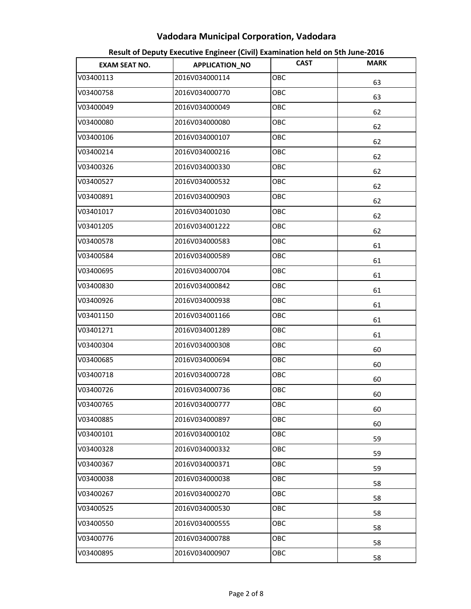| <b>EXAM SEAT NO.</b> | APPLICATION_NO | <b>CAST</b> | <b>MARK</b> |
|----------------------|----------------|-------------|-------------|
| V03400113            | 2016V034000114 | OBC         | 63          |
| V03400758            | 2016V034000770 | OBC         | 63          |
| V03400049            | 2016V034000049 | OBC         | 62          |
| V03400080            | 2016V034000080 | OBC         | 62          |
| V03400106            | 2016V034000107 | OBC         | 62          |
| V03400214            | 2016V034000216 | OBC         | 62          |
| V03400326            | 2016V034000330 | OBC         | 62          |
| V03400527            | 2016V034000532 | OBC         | 62          |
| V03400891            | 2016V034000903 | OBC         | 62          |
| V03401017            | 2016V034001030 | OBC         | 62          |
| V03401205            | 2016V034001222 | OBC         | 62          |
| V03400578            | 2016V034000583 | OBC         | 61          |
| V03400584            | 2016V034000589 | OBC         | 61          |
| V03400695            | 2016V034000704 | OBC         | 61          |
| V03400830            | 2016V034000842 | OBC         | 61          |
| V03400926            | 2016V034000938 | OBC         | 61          |
| V03401150            | 2016V034001166 | OBC         | 61          |
| V03401271            | 2016V034001289 | OBC         | 61          |
| V03400304            | 2016V034000308 | OBC         | 60          |
| V03400685            | 2016V034000694 | OBC         | 60          |
| V03400718            | 2016V034000728 | OBC         | 60          |
| V03400726            | 2016V034000736 | OBC         | 60          |
| V03400765            | 2016V034000777 | OBC         | 60          |
| V03400885            | 2016V034000897 | OBC         | 60          |
| V03400101            | 2016V034000102 | OBC         | 59          |
| V03400328            | 2016V034000332 | OBC         | 59          |
| V03400367            | 2016V034000371 | OBC         | 59          |
| V03400038            | 2016V034000038 | OBC         | 58          |
| V03400267            | 2016V034000270 | OBC         | 58          |
| V03400525            | 2016V034000530 | OBC         | 58          |
| V03400550            | 2016V034000555 | OBC         | 58          |
| V03400776            | 2016V034000788 | OBC         | 58          |
| V03400895            | 2016V034000907 | OBC         | 58          |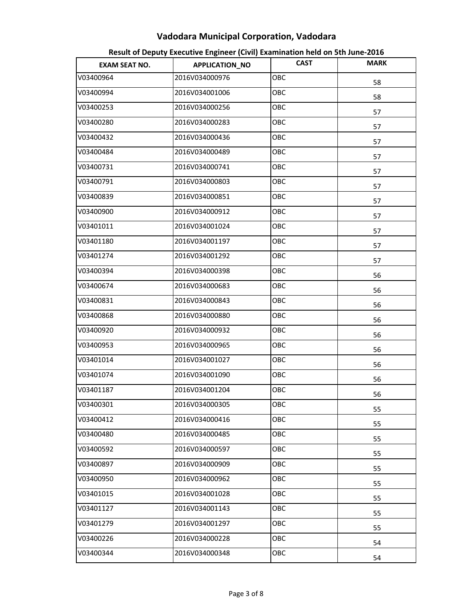| <b>EXAM SEAT NO.</b> | APPLICATION_NO | <b>CAST</b> | <b>MARK</b> |
|----------------------|----------------|-------------|-------------|
| V03400964            | 2016V034000976 | OBC         | 58          |
| V03400994            | 2016V034001006 | OBC         | 58          |
| V03400253            | 2016V034000256 | OBC         | 57          |
| V03400280            | 2016V034000283 | OBC         | 57          |
| V03400432            | 2016V034000436 | OBC         | 57          |
| V03400484            | 2016V034000489 | OBC         | 57          |
| V03400731            | 2016V034000741 | OBC         | 57          |
| V03400791            | 2016V034000803 | OBC         | 57          |
| V03400839            | 2016V034000851 | OBC         | 57          |
| V03400900            | 2016V034000912 | OBC         | 57          |
| V03401011            | 2016V034001024 | OBC         | 57          |
| V03401180            | 2016V034001197 | OBC         | 57          |
| V03401274            | 2016V034001292 | OBC         | 57          |
| V03400394            | 2016V034000398 | OBC         | 56          |
| V03400674            | 2016V034000683 | OBC         | 56          |
| V03400831            | 2016V034000843 | OBC         | 56          |
| V03400868            | 2016V034000880 | OBC         | 56          |
| V03400920            | 2016V034000932 | OBC         | 56          |
| V03400953            | 2016V034000965 | OBC         | 56          |
| V03401014            | 2016V034001027 | OBC         | 56          |
| V03401074            | 2016V034001090 | OBC         | 56          |
| V03401187            | 2016V034001204 | OBC         | 56          |
| V03400301            | 2016V034000305 | OBC         | 55          |
| V03400412            | 2016V034000416 | OBC         | 55          |
| V03400480            | 2016V034000485 | OBC         | 55          |
| V03400592            | 2016V034000597 | OBC         | 55          |
| V03400897            | 2016V034000909 | OBC         | 55          |
| V03400950            | 2016V034000962 | <b>OBC</b>  | 55          |
| V03401015            | 2016V034001028 | OBC         | 55          |
| V03401127            | 2016V034001143 | <b>OBC</b>  | 55          |
| V03401279            | 2016V034001297 | OBC         | 55          |
| V03400226            | 2016V034000228 | OBC         | 54          |
| V03400344            | 2016V034000348 | OBC         | 54          |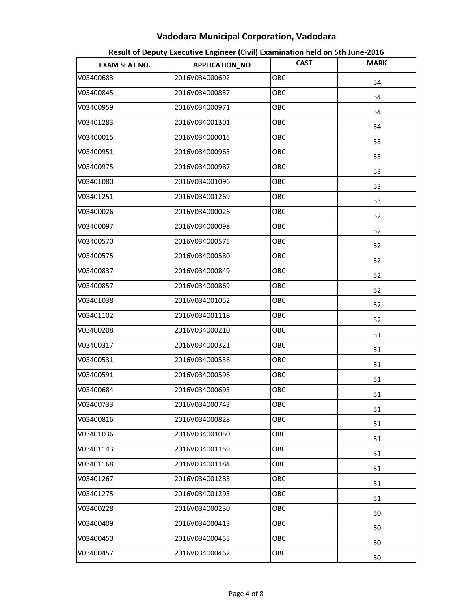| <b>EXAM SEAT NO.</b> | APPLICATION_NO | <b>CAST</b> | <b>MARK</b> |
|----------------------|----------------|-------------|-------------|
| V03400683            | 2016V034000692 | OBC         | 54          |
| V03400845            | 2016V034000857 | OBC         | 54          |
| V03400959            | 2016V034000971 | OBC         | 54          |
| V03401283            | 2016V034001301 | OBC         | 54          |
| V03400015            | 2016V034000015 | OBC         | 53          |
| V03400951            | 2016V034000963 | OBC         | 53          |
| V03400975            | 2016V034000987 | OBC         | 53          |
| V03401080            | 2016V034001096 | OBC         | 53          |
| V03401251            | 2016V034001269 | OBC         | 53          |
| V03400026            | 2016V034000026 | OBC         | 52          |
| V03400097            | 2016V034000098 | OBC         | 52          |
| V03400570            | 2016V034000575 | OBC         | 52          |
| V03400575            | 2016V034000580 | OBC         | 52          |
| V03400837            | 2016V034000849 | OBC         | 52          |
| V03400857            | 2016V034000869 | OBC         | 52          |
| V03401038            | 2016V034001052 | ОВС         | 52          |
| V03401102            | 2016V034001118 | OBC         | 52          |
| V03400208            | 2016V034000210 | OBC         | 51          |
| V03400317            | 2016V034000321 | OBC         | 51          |
| V03400531            | 2016V034000536 | OBC         | 51          |
| V03400591            | 2016V034000596 | OBC         | 51          |
| V03400684            | 2016V034000693 | OBC         | 51          |
| V03400733            | 2016V034000743 | OBC         | 51          |
| V03400816            | 2016V034000828 | ОВС         | 51          |
| V03401036            | 2016V034001050 | ОВС         | 51          |
| V03401143            | 2016V034001159 | OBC         | 51          |
| V03401168            | 2016V034001184 | OBC         | 51          |
| V03401267            | 2016V034001285 | ОВС         | 51          |
| V03401275            | 2016V034001293 | ОВС         | 51          |
| V03400228            | 2016V034000230 | ОВС         | 50          |
| V03400409            | 2016V034000413 | OBC         | 50          |
| V03400450            | 2016V034000455 | OBC         | 50          |
| V03400457            | 2016V034000462 | ОВС         | 50          |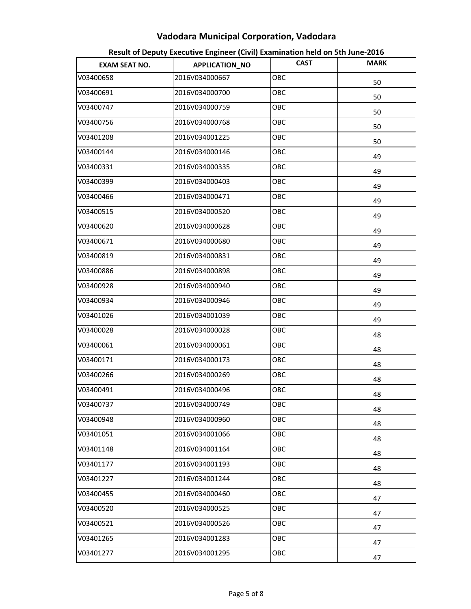| <b>EXAM SEAT NO.</b> | APPLICATION_NO | <b>CAST</b> | <b>MARK</b> |
|----------------------|----------------|-------------|-------------|
| V03400658            | 2016V034000667 | OBC         | 50          |
| V03400691            | 2016V034000700 | OBC         | 50          |
| V03400747            | 2016V034000759 | ОВС         | 50          |
| V03400756            | 2016V034000768 | OBC         | 50          |
| V03401208            | 2016V034001225 | OBC         | 50          |
| V03400144            | 2016V034000146 | ОВС         | 49          |
| V03400331            | 2016V034000335 | OBC         | 49          |
| V03400399            | 2016V034000403 | OBC         | 49          |
| V03400466            | 2016V034000471 | OBC         | 49          |
| V03400515            | 2016V034000520 | OBC         | 49          |
| V03400620            | 2016V034000628 | ОВС         | 49          |
| V03400671            | 2016V034000680 | OBC         | 49          |
| V03400819            | 2016V034000831 | OBC         | 49          |
| V03400886            | 2016V034000898 | OBC         | 49          |
| V03400928            | 2016V034000940 | OBC         | 49          |
| V03400934            | 2016V034000946 | OBC         | 49          |
| V03401026            | 2016V034001039 | OBC         | 49          |
| V03400028            | 2016V034000028 | OBC         | 48          |
| V03400061            | 2016V034000061 | ОВС         | 48          |
| V03400171            | 2016V034000173 | OBC         | 48          |
| V03400266            | 2016V034000269 | OBC         | 48          |
| V03400491            | 2016V034000496 | OBC         | 48          |
| V03400737            | 2016V034000749 | OBC         | 48          |
| V03400948            | 2016V034000960 | OBC         | 48          |
| V03401051            | 2016V034001066 | ОВС         | 48          |
| V03401148            | 2016V034001164 | ОВС         | 48          |
| V03401177            | 2016V034001193 | OBC         | 48          |
| V03401227            | 2016V034001244 | ОВС         | 48          |
| V03400455            | 2016V034000460 | OBC         | 47          |
| V03400520            | 2016V034000525 | ОВС         | 47          |
| V03400521            | 2016V034000526 | ОВС         | 47          |
| V03401265            | 2016V034001283 | OBC         | 47          |
| V03401277            | 2016V034001295 | ОВС         | 47          |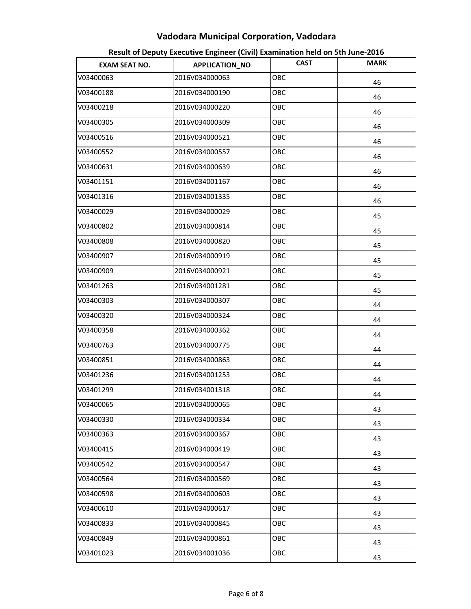| <b>EXAM SEAT NO.</b> | APPLICATION_NO | <b>CAST</b> | <b>MARK</b> |
|----------------------|----------------|-------------|-------------|
| V03400063            | 2016V034000063 | OBC         | 46          |
| V03400188            | 2016V034000190 | OBC         | 46          |
| V03400218            | 2016V034000220 | ОВС         | 46          |
| V03400305            | 2016V034000309 | OBC         | 46          |
| V03400516            | 2016V034000521 | OBC         | 46          |
| V03400552            | 2016V034000557 | OBC         | 46          |
| V03400631            | 2016V034000639 | OBC         | 46          |
| V03401151            | 2016V034001167 | OBC         | 46          |
| V03401316            | 2016V034001335 | OBC         | 46          |
| V03400029            | 2016V034000029 | OBC         | 45          |
| V03400802            | 2016V034000814 | ОВС         | 45          |
| V03400808            | 2016V034000820 | OBC         | 45          |
| V03400907            | 2016V034000919 | OBC         | 45          |
| V03400909            | 2016V034000921 | OBC         | 45          |
| V03401263            | 2016V034001281 | OBC         | 45          |
| V03400303            | 2016V034000307 | OBC         | 44          |
| V03400320            | 2016V034000324 | OBC         | 44          |
| V03400358            | 2016V034000362 | OBC         | 44          |
| V03400763            | 2016V034000775 | ОВС         | 44          |
| V03400851            | 2016V034000863 | OBC         | 44          |
| V03401236            | 2016V034001253 | OBC         | 44          |
| V03401299            | 2016V034001318 | OBC         | 44          |
| V03400065            | 2016V034000065 | OBC         | 43          |
| V03400330            | 2016V034000334 | OBC         | 43          |
| V03400363            | 2016V034000367 | OBC         | 43          |
| V03400415            | 2016V034000419 | OBC         | 43          |
| V03400542            | 2016V034000547 | OBC         | 43          |
| V03400564            | 2016V034000569 | ОВС         | 43          |
| V03400598            | 2016V034000603 | OBC         | 43          |
| V03400610            | 2016V034000617 | ОВС         | 43          |
| V03400833            | 2016V034000845 | ОВС         | 43          |
| V03400849            | 2016V034000861 | OBC         | 43          |
| V03401023            | 2016V034001036 | ОВС         | 43          |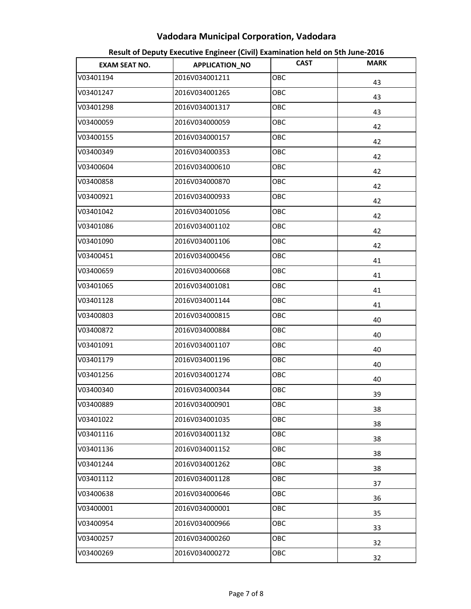| <b>EXAM SEAT NO.</b> | APPLICATION_NO | <b>CAST</b> | <b>MARK</b> |
|----------------------|----------------|-------------|-------------|
| V03401194            | 2016V034001211 | OBC         | 43          |
| V03401247            | 2016V034001265 | OBC         | 43          |
| V03401298            | 2016V034001317 | ОВС         | 43          |
| V03400059            | 2016V034000059 | OBC         | 42          |
| V03400155            | 2016V034000157 | OBC         | 42          |
| V03400349            | 2016V034000353 | ОВС         | 42          |
| V03400604            | 2016V034000610 | OBC         | 42          |
| V03400858            | 2016V034000870 | OBC         | 42          |
| V03400921            | 2016V034000933 | OBC         | 42          |
| V03401042            | 2016V034001056 | OBC         | 42          |
| V03401086            | 2016V034001102 | ОВС         | 42          |
| V03401090            | 2016V034001106 | OBC         | 42          |
| V03400451            | 2016V034000456 | OBC         | 41          |
| V03400659            | 2016V034000668 | OBC         | 41          |
| V03401065            | 2016V034001081 | OBC         | 41          |
| V03401128            | 2016V034001144 | OBC         | 41          |
| V03400803            | 2016V034000815 | OBC         | 40          |
| V03400872            | 2016V034000884 | OBC         | 40          |
| V03401091            | 2016V034001107 | ОВС         | 40          |
| V03401179            | 2016V034001196 | OBC         | 40          |
| V03401256            | 2016V034001274 | OBC         | 40          |
| V03400340            | 2016V034000344 | OBC         | 39          |
| V03400889            | 2016V034000901 | OBC         | 38          |
| V03401022            | 2016V034001035 | OBC         | 38          |
| V03401116            | 2016V034001132 | ОВС         | 38          |
| V03401136            | 2016V034001152 | ОВС         | 38          |
| V03401244            | 2016V034001262 | OBC         | 38          |
| V03401112            | 2016V034001128 | ОВС         | 37          |
| V03400638            | 2016V034000646 | OBC         | 36          |
| V03400001            | 2016V034000001 | ОВС         | 35          |
| V03400954            | 2016V034000966 | ОВС         | 33          |
| V03400257            | 2016V034000260 | OBC         | 32          |
| V03400269            | 2016V034000272 | ОВС         | 32          |